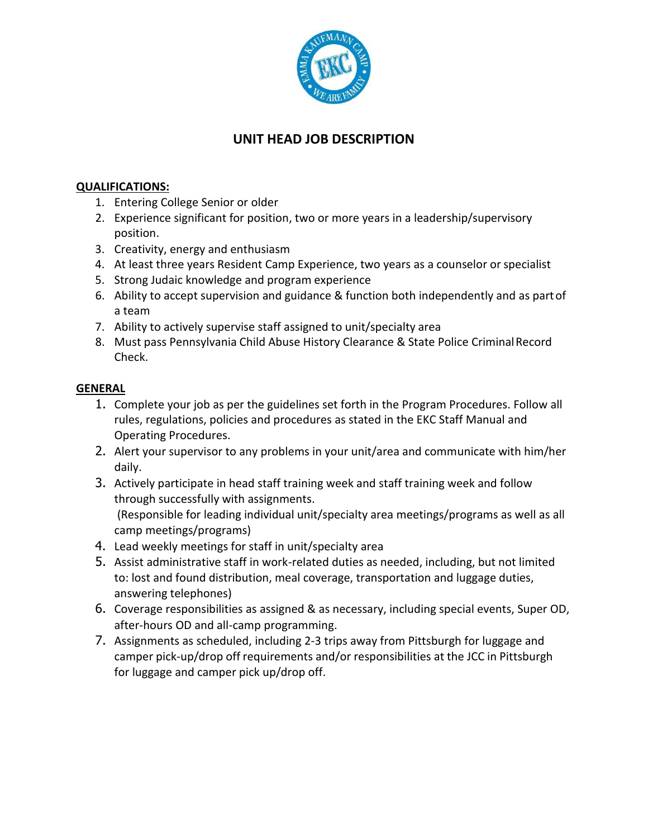

## **UNIT HEAD JOB DESCRIPTION**

## **QUALIFICATIONS:**

- 1. Entering College Senior or older
- 2. Experience significant for position, two or more years in a leadership/supervisory position.
- 3. Creativity, energy and enthusiasm
- 4. At least three years Resident Camp Experience, two years as a counselor or specialist
- 5. Strong Judaic knowledge and program experience
- 6. Ability to accept supervision and guidance & function both independently and as partof a team
- 7. Ability to actively supervise staff assigned to unit/specialty area
- 8. Must pass Pennsylvania Child Abuse History Clearance & State Police CriminalRecord Check.

## **GENERAL**

- 1. Complete your job as per the guidelines set forth in the Program Procedures. Follow all rules, regulations, policies and procedures as stated in the EKC Staff Manual and Operating Procedures.
- 2. Alert your supervisor to any problems in your unit/area and communicate with him/her daily.
- 3. Actively participate in head staff training week and staff training week and follow through successfully with assignments. (Responsible for leading individual unit/specialty area meetings/programs as well as all camp meetings/programs)
- 4. Lead weekly meetings for staff in unit/specialty area
- 5. Assist administrative staff in work-related duties as needed, including, but not limited to: lost and found distribution, meal coverage, transportation and luggage duties, answering telephones)
- 6. Coverage responsibilities as assigned & as necessary, including special events, Super OD, after-hours OD and all-camp programming.
- 7. Assignments as scheduled, including 2-3 trips away from Pittsburgh for luggage and camper pick-up/drop off requirements and/or responsibilities at the JCC in Pittsburgh for luggage and camper pick up/drop off.